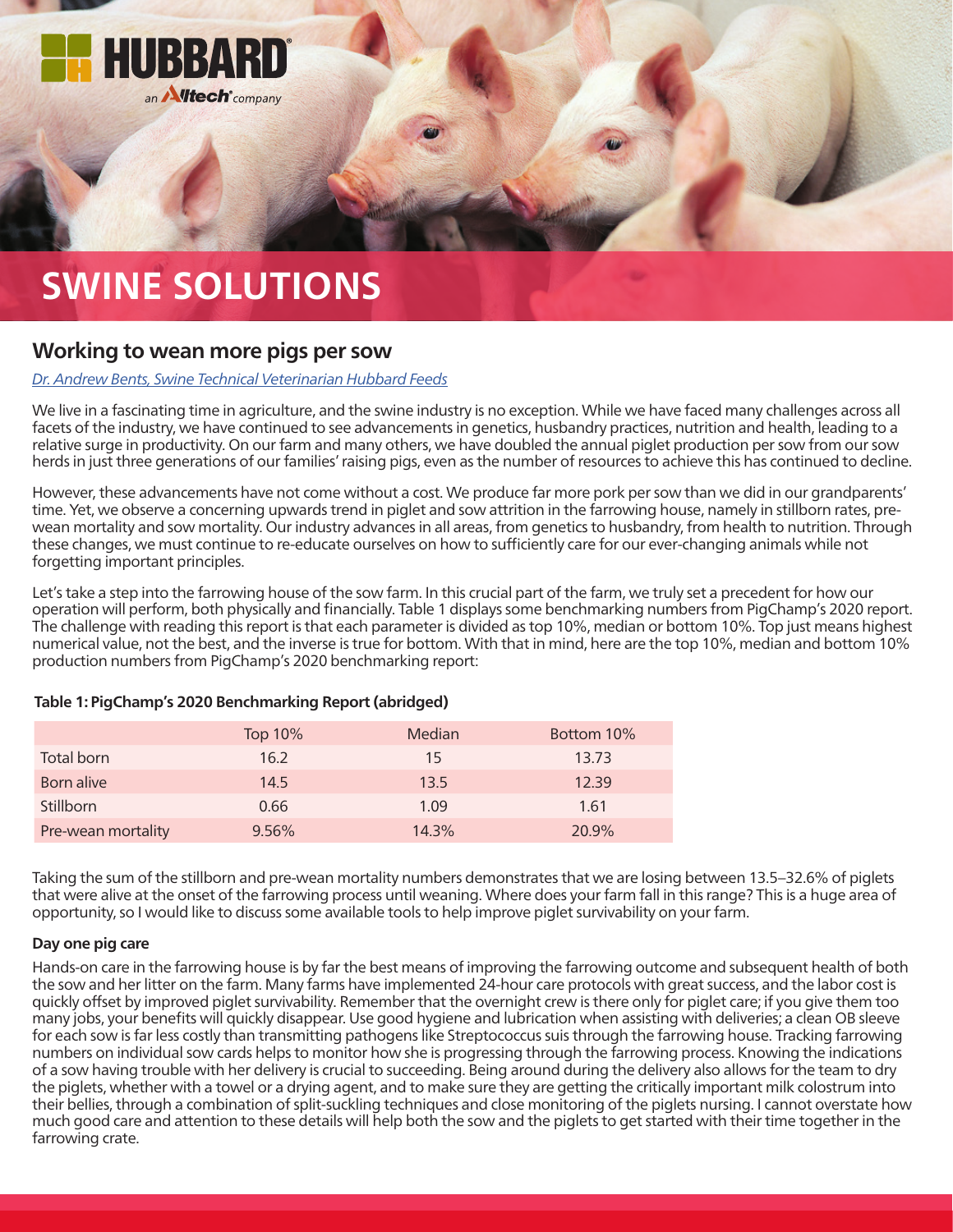

# **SWINE SOLUTIONS**

## **Working to wean more pigs per sow**

### *[Dr. Andrew Bents, Swine Technical Veterinarian Hubbard Feeds](mailto:swineteam%40hubbardfeeds.com?subject=)*

We live in a fascinating time in agriculture, and the swine industry is no exception. While we have faced many challenges across all facets of the industry, we have continued to see advancements in genetics, husbandry practices, nutrition and health, leading to a relative surge in productivity. On our farm and many others, we have doubled the annual piglet production per sow from our sow herds in just three generations of our families' raising pigs, even as the number of resources to achieve this has continued to decline.

However, these advancements have not come without a cost. We produce far more pork per sow than we did in our grandparents' time. Yet, we observe a concerning upwards trend in piglet and sow attrition in the farrowing house, namely in stillborn rates, prewean mortality and sow mortality. Our industry advances in all areas, from genetics to husbandry, from health to nutrition. Through these changes, we must continue to re-educate ourselves on how to sufficiently care for our ever-changing animals while not forgetting important principles.

Let's take a step into the farrowing house of the sow farm. In this crucial part of the farm, we truly set a precedent for how our operation will perform, both physically and financially. Table 1 displays some benchmarking numbers from PigChamp's 2020 report. The challenge with reading this report is that each parameter is divided as top 10%, median or bottom 10%. Top just means highest numerical value, not the best, and the inverse is true for bottom. With that in mind, here are the top 10%, median and bottom 10% production numbers from PigChamp's 2020 benchmarking report:

|                    | Top 10% | Median | Bottom 10% |
|--------------------|---------|--------|------------|
| Total born         | 16.2    | 15     | 13.73      |
| Born alive         | 14.5    | 13.5   | 12.39      |
| <b>Stillborn</b>   | 0.66    | 1.09   | 1.61       |
| Pre-wean mortality | 9.56%   | 14.3%  | 20.9%      |

#### **Table 1: PigChamp's 2020 Benchmarking Report (abridged)**

Taking the sum of the stillborn and pre-wean mortality numbers demonstrates that we are losing between 13.5–32.6% of piglets that were alive at the onset of the farrowing process until weaning. Where does your farm fall in this range? This is a huge area of opportunity, so I would like to discuss some available tools to help improve piglet survivability on your farm.

#### **Day one pig care**

Hands-on care in the farrowing house is by far the best means of improving the farrowing outcome and subsequent health of both the sow and her litter on the farm. Many farms have implemented 24-hour care protocols with great success, and the labor cost is quickly offset by improved piglet survivability. Remember that the overnight crew is there only for piglet care; if you give them too many jobs, your benefits will quickly disappear. Use good hygiene and lubrication when assisting with deliveries; a clean OB sleeve for each sow is far less costly than transmitting pathogens like Streptococcus suis through the farrowing house. Tracking farrowing numbers on individual sow cards helps to monitor how she is progressing through the farrowing process. Knowing the indications of a sow having trouble with her delivery is crucial to succeeding. Being around during the delivery also allows for the team to dry the piglets, whether with a towel or a drying agent, and to make sure they are getting the critically important milk colostrum into their bellies, through a combination of split-suckling techniques and close monitoring of the piglets nursing. I cannot overstate how much good care and attention to these details will help both the sow and the piglets to get started with their time together in the farrowing crate.